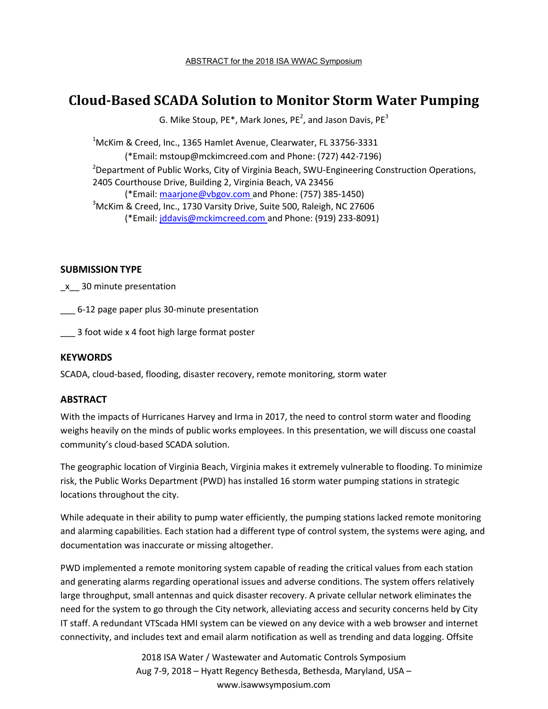# **Cloud-Based SCADA Solution to Monitor Storm Water Pumping**

G. Mike Stoup, PE\*, Mark Jones, PE<sup>2</sup>, and Jason Davis, PE<sup>3</sup>

 $1$ McKim & Creed, Inc., 1365 Hamlet Avenue, Clearwater, FL 33756-3331 (\*Email: mstoup@mckimcreed.com and Phone: (727) 442-7196) <sup>2</sup>Department of Public Works, City of Virginia Beach, SWU-Engineering Construction Operations, 2405 Courthouse Drive, Building 2, Virginia Beach, VA 23456 (\*Email: maarjone@vbgov.com and Phone: (757) 385-1450)  $3$ McKim & Creed, Inc., 1730 Varsity Drive, Suite 500, Raleigh, NC 27606 (\*Email: jddavis@mckimcreed.com and Phone: (919) 233-8091)

## **SUBMISSION TYPE**

\_x\_\_ 30 minute presentation

\_\_\_ 6-12 page paper plus 30-minute presentation

\_\_\_ 3 foot wide x 4 foot high large format poster

#### **KEYWORDS**

SCADA, cloud-based, flooding, disaster recovery, remote monitoring, storm water

## **ABSTRACT**

With the impacts of Hurricanes Harvey and Irma in 2017, the need to control storm water and flooding weighs heavily on the minds of public works employees. In this presentation, we will discuss one coastal community's cloud-based SCADA solution.

The geographic location of Virginia Beach, Virginia makes it extremely vulnerable to flooding. To minimize risk, the Public Works Department (PWD) has installed 16 storm water pumping stations in strategic locations throughout the city.

While adequate in their ability to pump water efficiently, the pumping stations lacked remote monitoring and alarming capabilities. Each station had a different type of control system, the systems were aging, and documentation was inaccurate or missing altogether.

PWD implemented a remote monitoring system capable of reading the critical values from each station and generating alarms regarding operational issues and adverse conditions. The system offers relatively large throughput, small antennas and quick disaster recovery. A private cellular network eliminates the need for the system to go through the City network, alleviating access and security concerns held by City IT staff. A redundant VTScada HMI system can be viewed on any device with a web browser and internet connectivity, and includes text and email alarm notification as well as trending and data logging. Offsite

> 2018 ISA Water / Wastewater and Automatic Controls Symposium Aug 7-9, 2018 – Hyatt Regency Bethesda, Bethesda, Maryland, USA – www.isawwsymposium.com